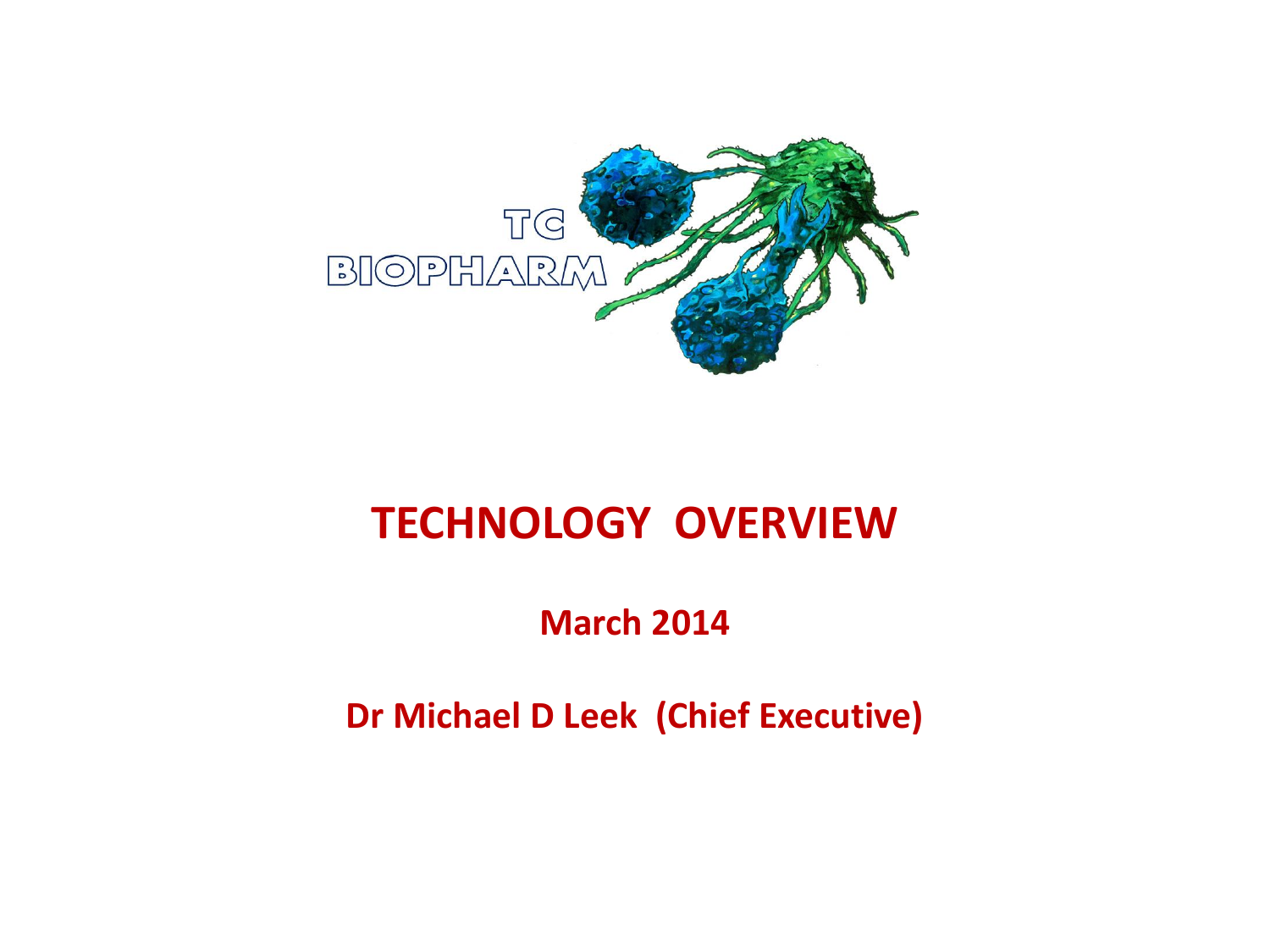

#### **TECHNOLOGY OVERVIEW**

**March 2014**

**Dr Michael D Leek (Chief Executive)**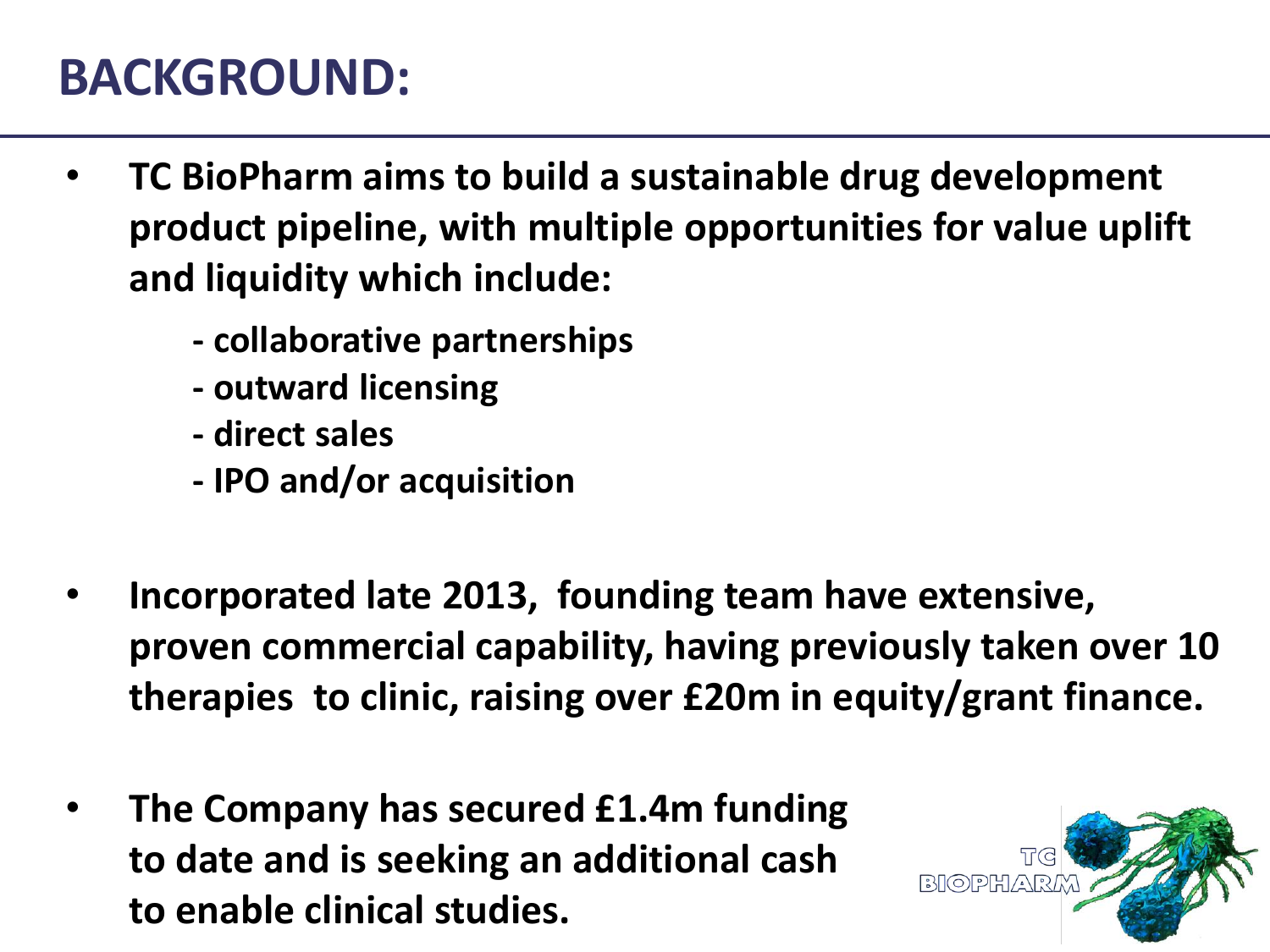#### **BACKGROUND:**

- **TC BioPharm aims to build a sustainable drug development product pipeline, with multiple opportunities for value uplift and liquidity which include:**
	- **- collaborative partnerships**
	- **- outward licensing**
	- **- direct sales**
	- **- IPO and/or acquisition**
- **Incorporated late 2013, founding team have extensive, proven commercial capability, having previously taken over 10 therapies to clinic, raising over £20m in equity/grant finance.**
- **The Company has secured £1.4m funding to date and is seeking an additional cash to enable clinical studies.**

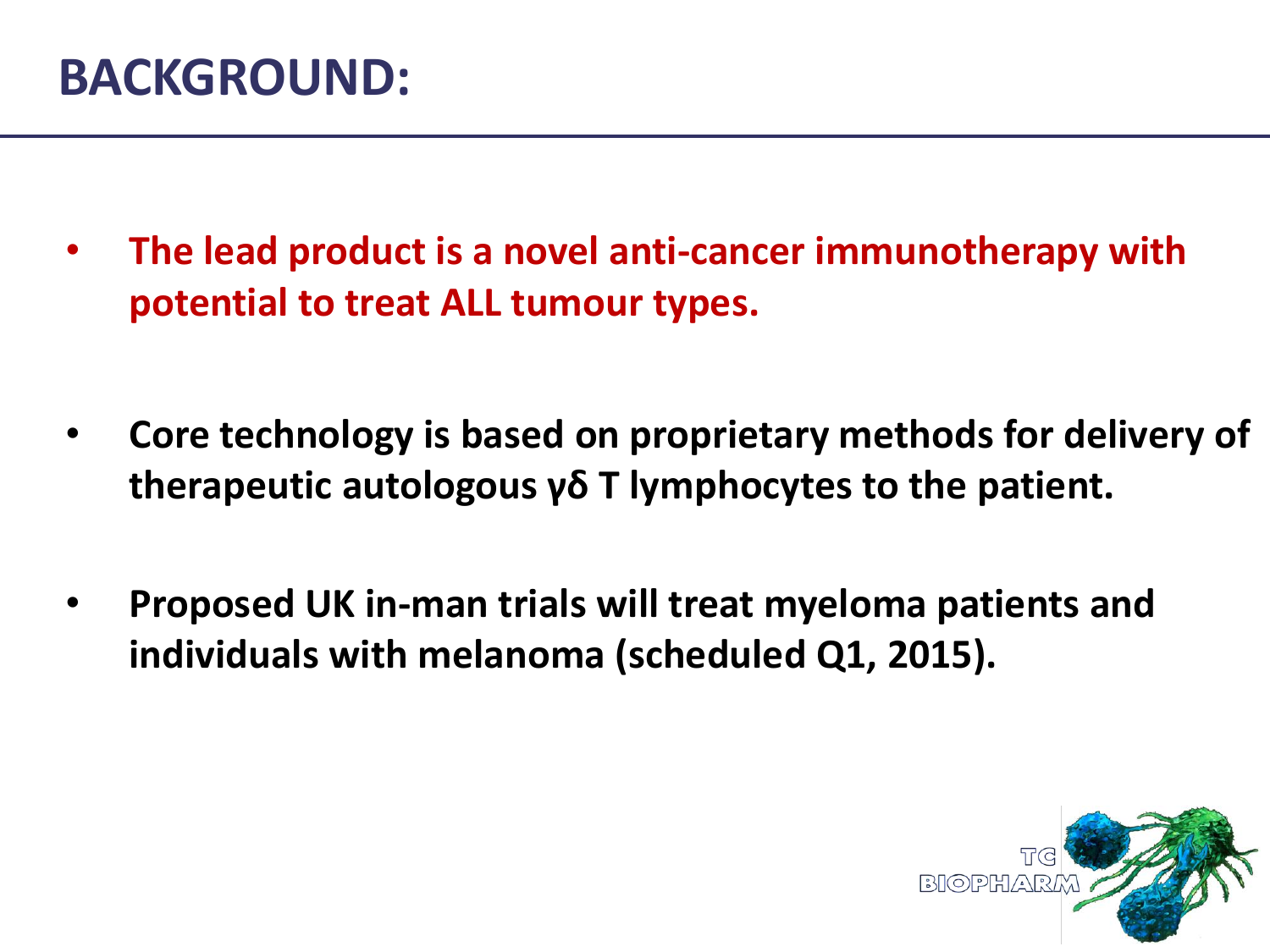#### **BACKGROUND:**

- **The lead product is a novel anti-cancer immunotherapy with potential to treat ALL tumour types.**
- **Core technology is based on proprietary methods for delivery of therapeutic autologous γδ T lymphocytes to the patient.**
- **Proposed UK in-man trials will treat myeloma patients and individuals with melanoma (scheduled Q1, 2015).**

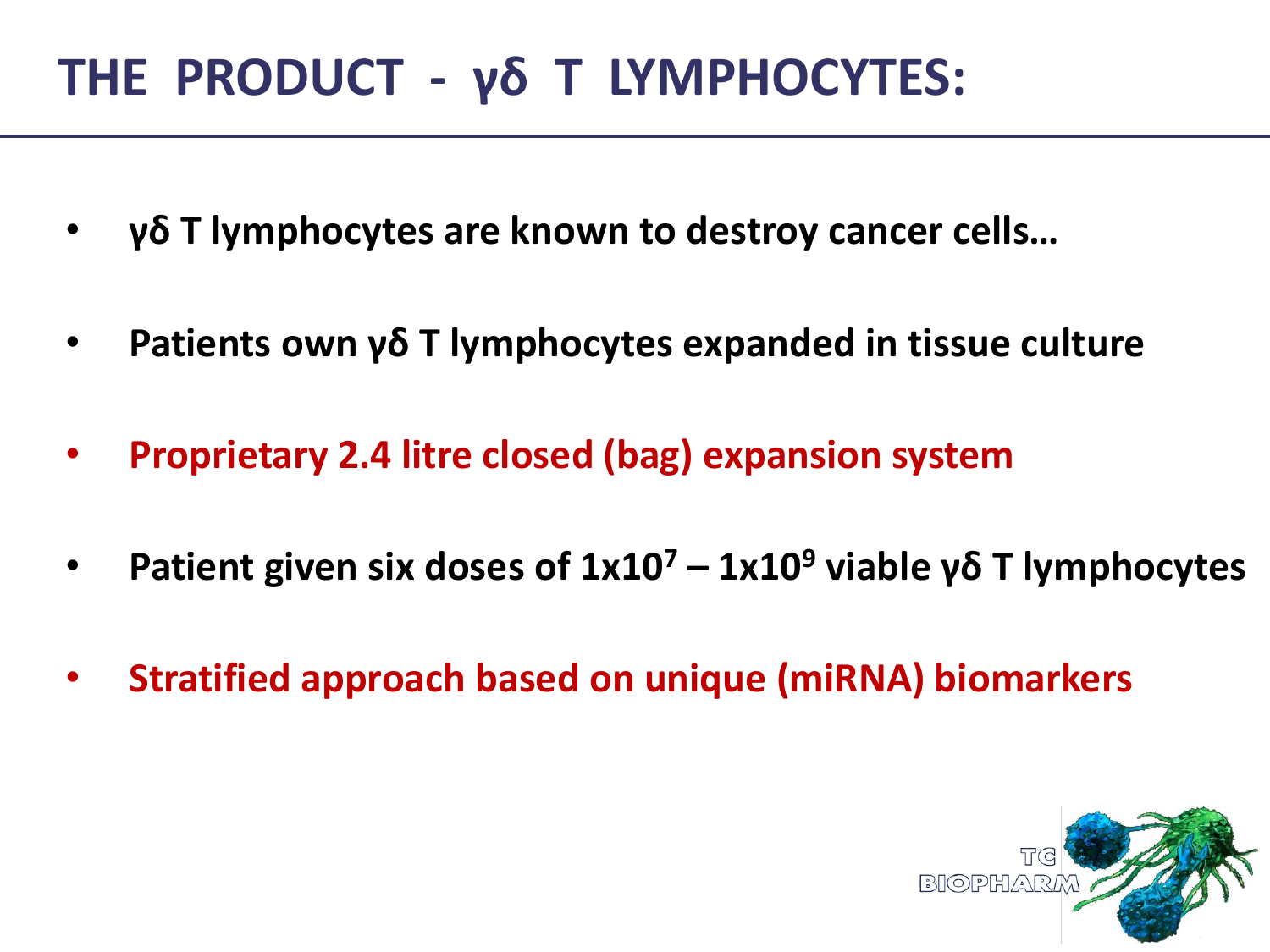# **THE PRODUCT - γδ T LYMPHOCYTES:**

- **γδ T lymphocytes are known to destroy cancer cells…**
- **Patients own γδ T lymphocytes expanded in tissue culture**
- **Proprietary 2.4 litre closed (bag) expansion system**
- **Patient given six doses of 1x10<sup>7</sup> – 1x10<sup>9</sup> viable γδ T lymphocytes**
- **Stratified approach based on unique (miRNA) biomarkers**

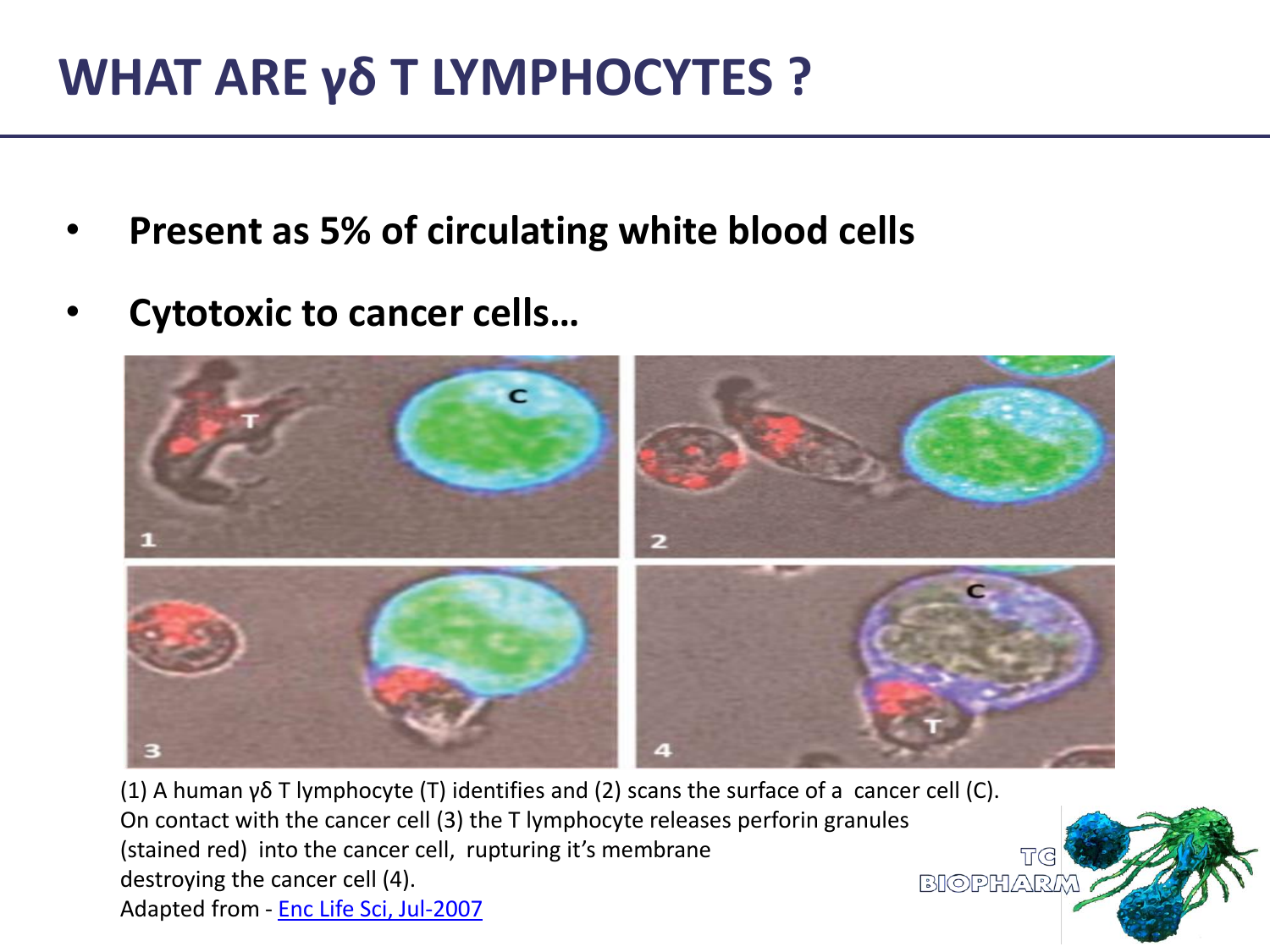## **WHAT ARE γδ T LYMPHOCYTES ?**

- **Present as 5% of circulating white blood cells**
- **Cytotoxic to cancer cells…**



**T**<sub>G</sub>

(1) A human γδ T lymphocyte (T) identifies and (2) scans the surface of a cancer cell (C). On contact with the cancer cell (3) the T lymphocyte releases perforin granules (stained red) into the cancer cell, rupturing it's membrane destroying the cancer cell (4).  $BIOPHARK$ Adapted from - [Enc](http://www.roitt.com/elspdf/Lymphocytes_gamma_delta.pdf) [Life Sci, Jul-2007](http://www.roitt.com/elspdf/Lymphocytes_gamma_delta.pdf)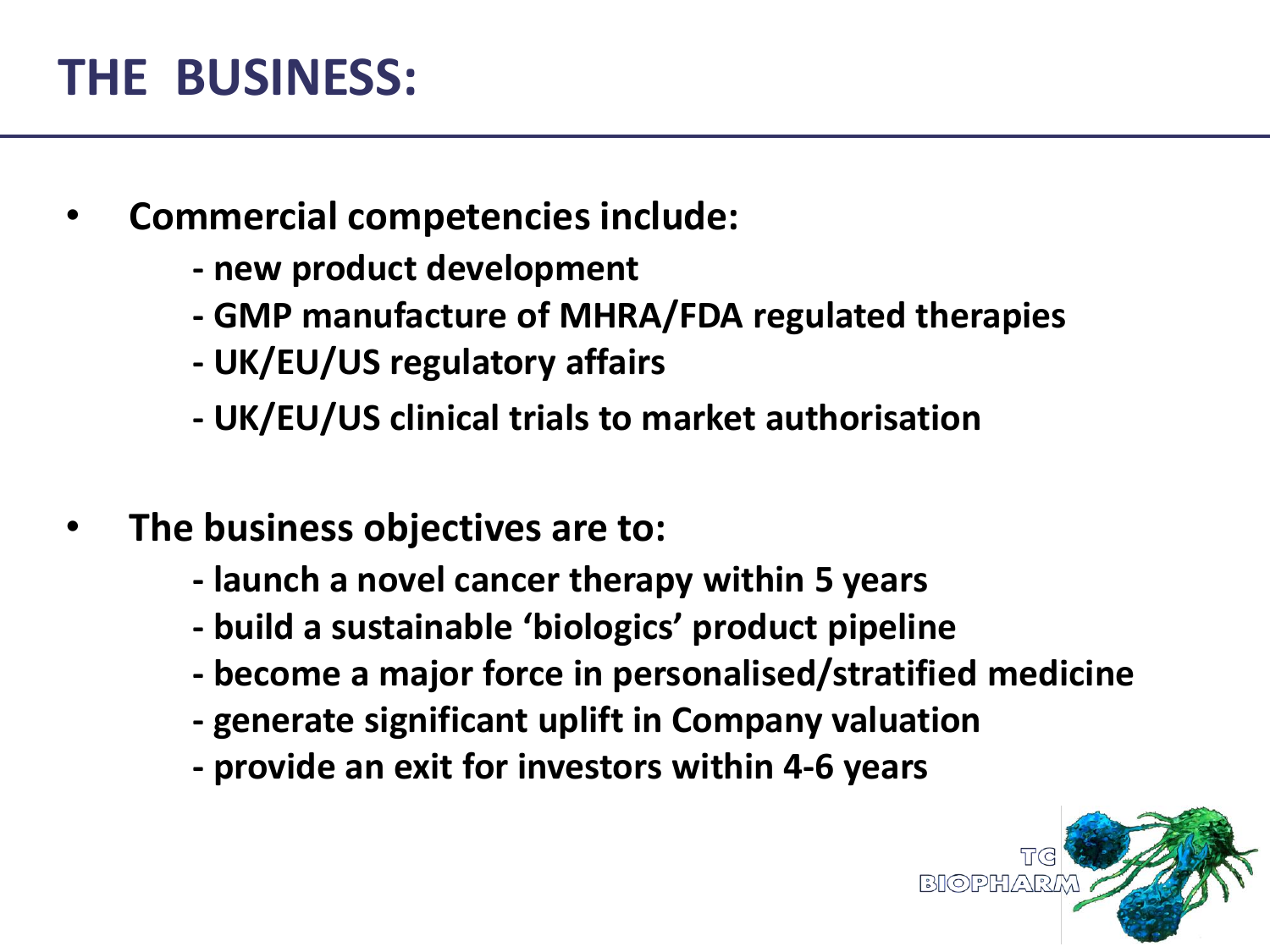### **THE BUSINESS:**

- **Commercial competencies include:**
	- **- new product development**
	- **- GMP manufacture of MHRA/FDA regulated therapies**
	- **- UK/EU/US regulatory affairs**
	- **- UK/EU/US clinical trials to market authorisation**
- **The business objectives are to:**
	- **- launch a novel cancer therapy within 5 years**
	- **- build a sustainable 'biologics' product pipeline**
	- **- become a major force in personalised/stratified medicine**
	- **- generate significant uplift in Company valuation**
	- **- provide an exit for investors within 4-6 years**

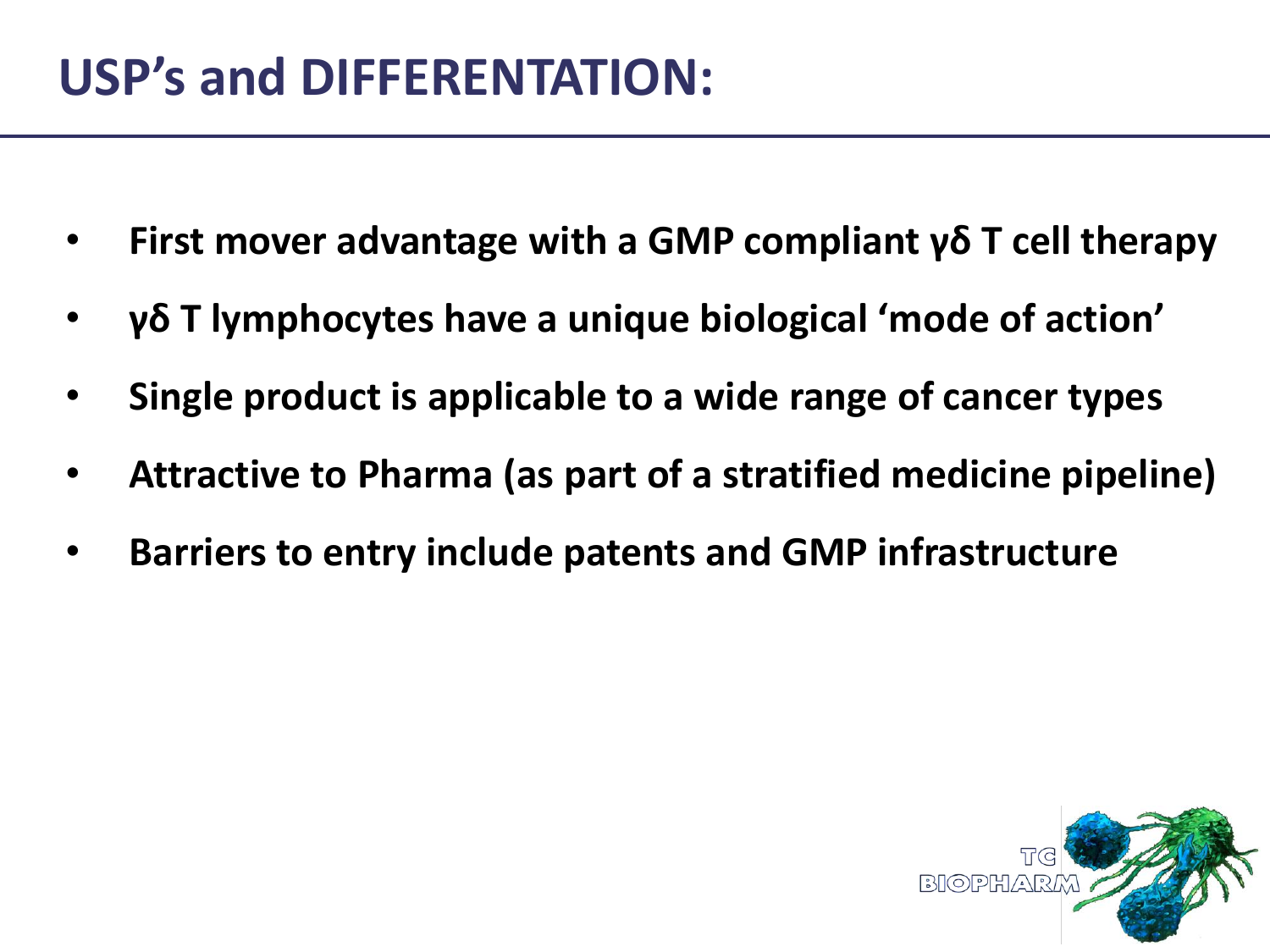# **USP's and DIFFERENTATION:**

- **First mover advantage with a GMP compliant γδ T cell therapy**
- **γδ T lymphocytes have a unique biological 'mode of action'**
- **Single product is applicable to a wide range of cancer types**
- **Attractive to Pharma (as part of a stratified medicine pipeline)**
- **Barriers to entry include patents and GMP infrastructure**

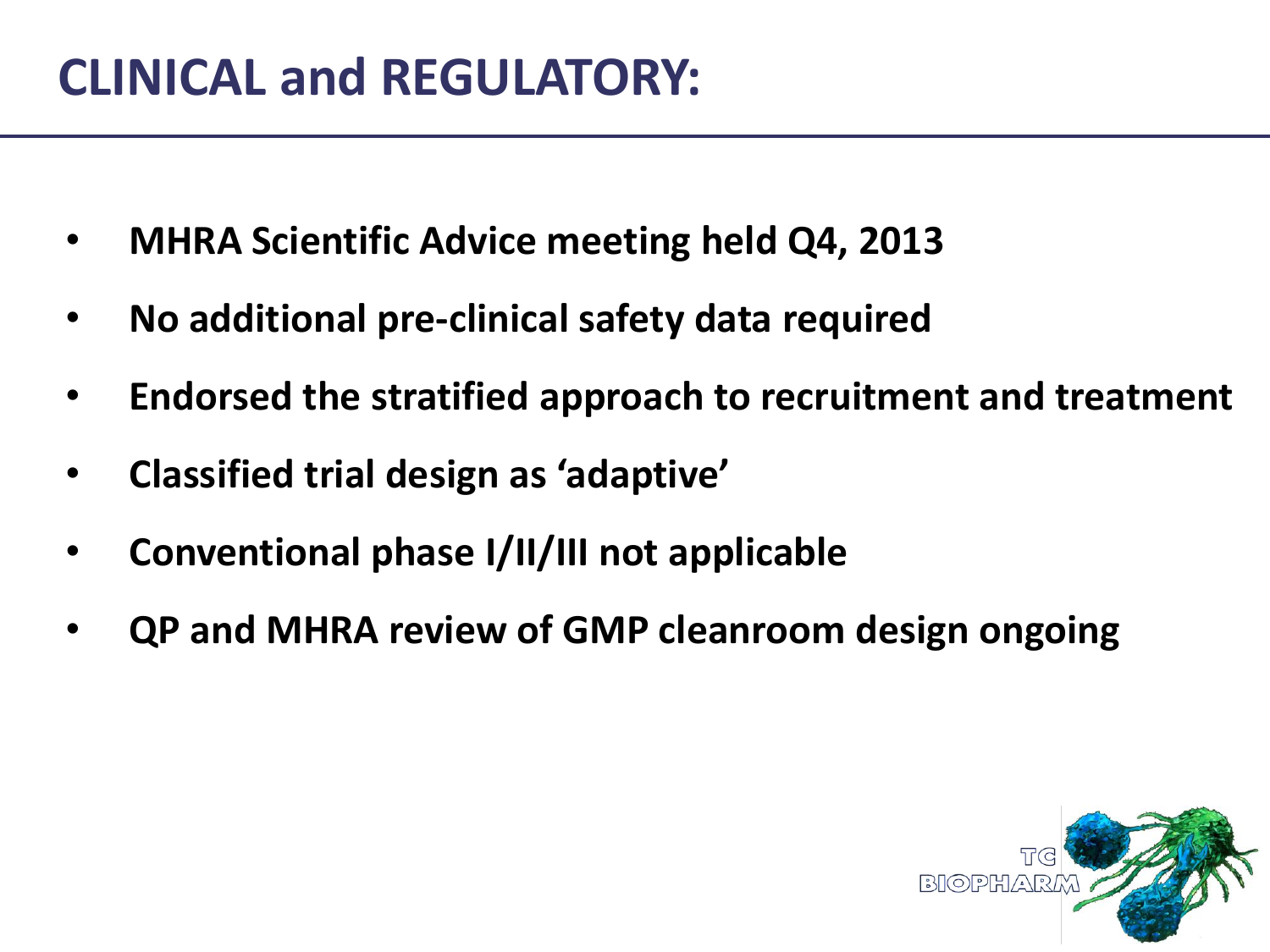### **CLINICAL and REGULATORY:**

- **MHRA Scientific Advice meeting held Q4, 2013**
- **No additional pre-clinical safety data required**
- **Endorsed the stratified approach to recruitment and treatment**
- **Classified trial design as 'adaptive'**
- **Conventional phase I/II/III not applicable**
- **QP and MHRA review of GMP cleanroom design ongoing**

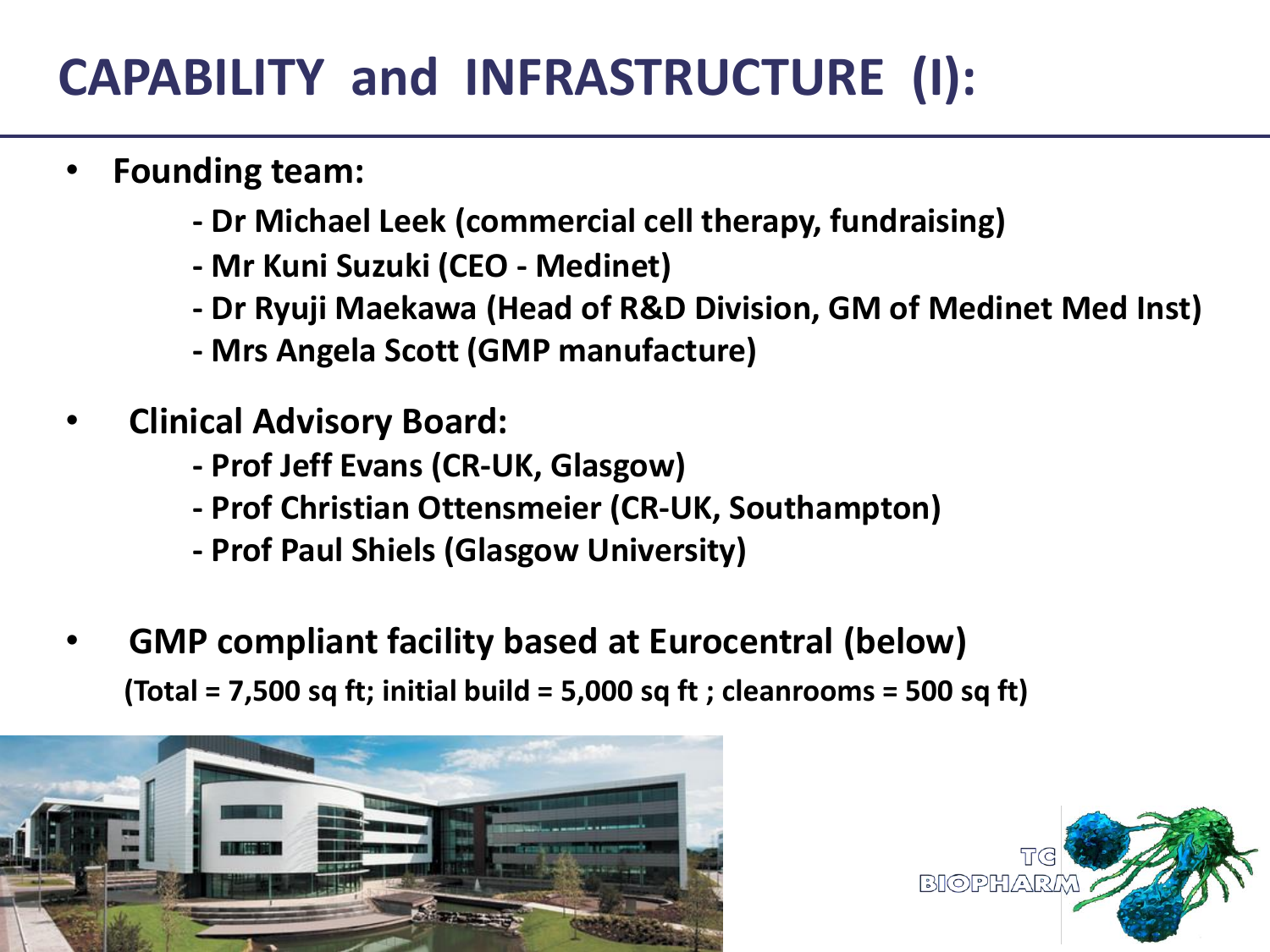# **CAPABILITY and INFRASTRUCTURE (I):**

- **Founding team:**
	- **- Dr Michael Leek (commercial cell therapy, fundraising)**
	- **- Mr Kuni Suzuki (CEO - Medinet)**
	- **- Dr Ryuji Maekawa (Head of R&D Division, GM of Medinet Med Inst)**
	- **- Mrs Angela Scott (GMP manufacture)**
- **Clinical Advisory Board:**
	- **- Prof Jeff Evans (CR-UK, Glasgow)**
	- **- Prof Christian Ottensmeier (CR-UK, Southampton)**
	- **- Prof Paul Shiels (Glasgow University)**
- **GMP compliant facility based at Eurocentral (below)**

 **(Total = 7,500 sq ft; initial build = 5,000 sq ft ; cleanrooms = 500 sq ft)**



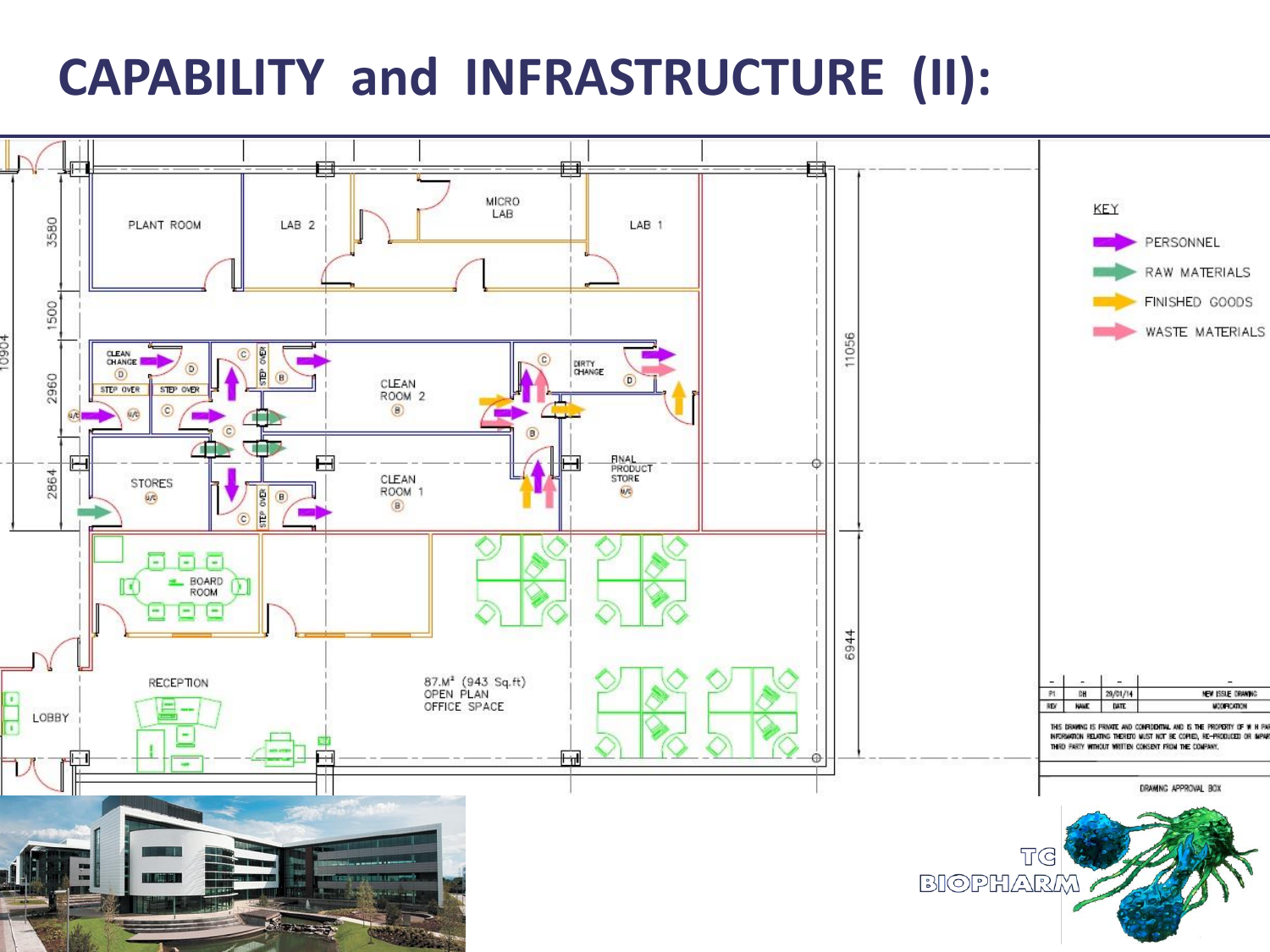### **CAPABILITY and INFRASTRUCTURE (II):**

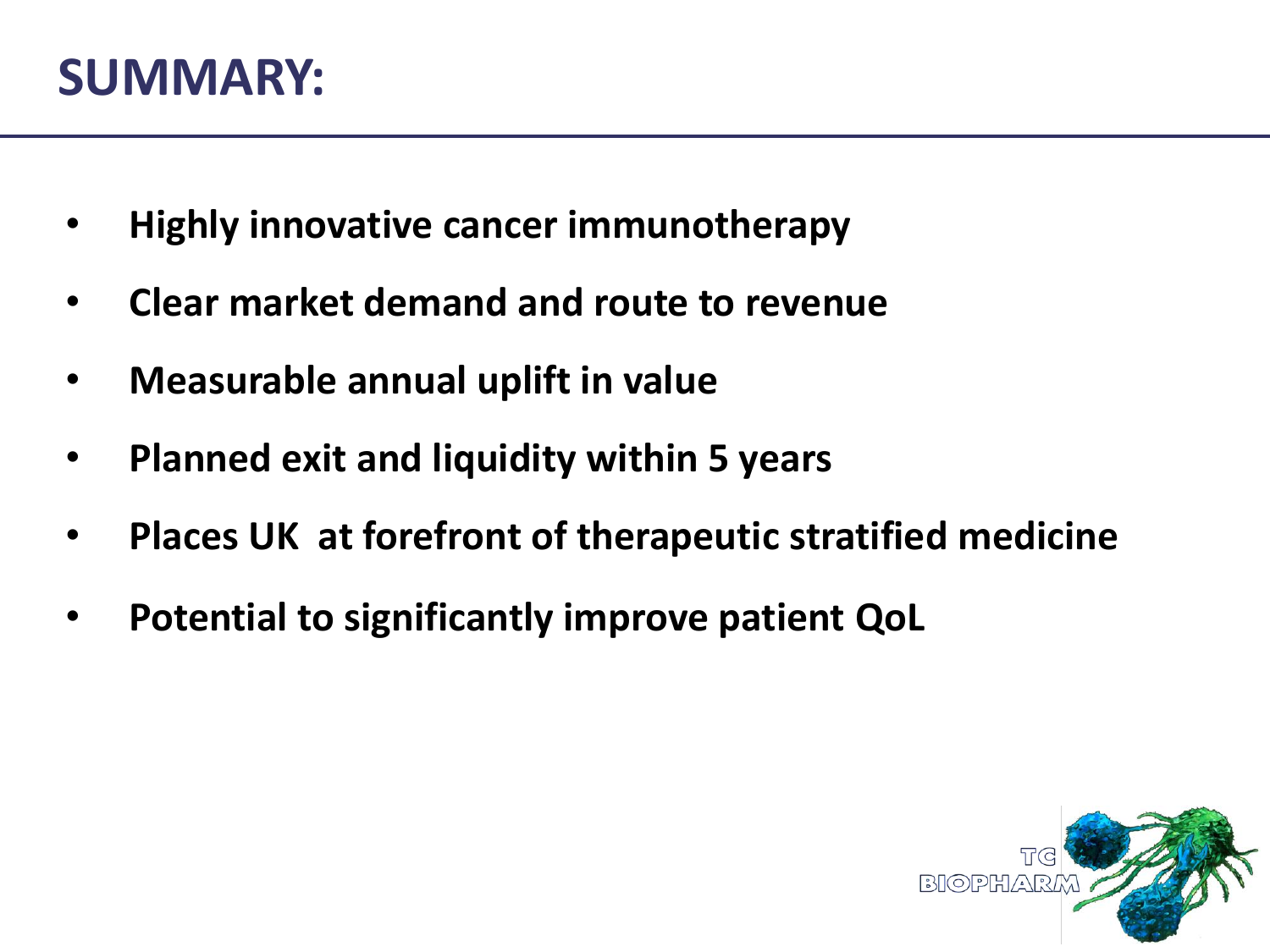#### **SUMMARY:**

- **Highly innovative cancer immunotherapy**
- **Clear market demand and route to revenue**
- **Measurable annual uplift in value**
- **Planned exit and liquidity within 5 years**
- **Places UK at forefront of therapeutic stratified medicine**
- **Potential to significantly improve patient QoL**